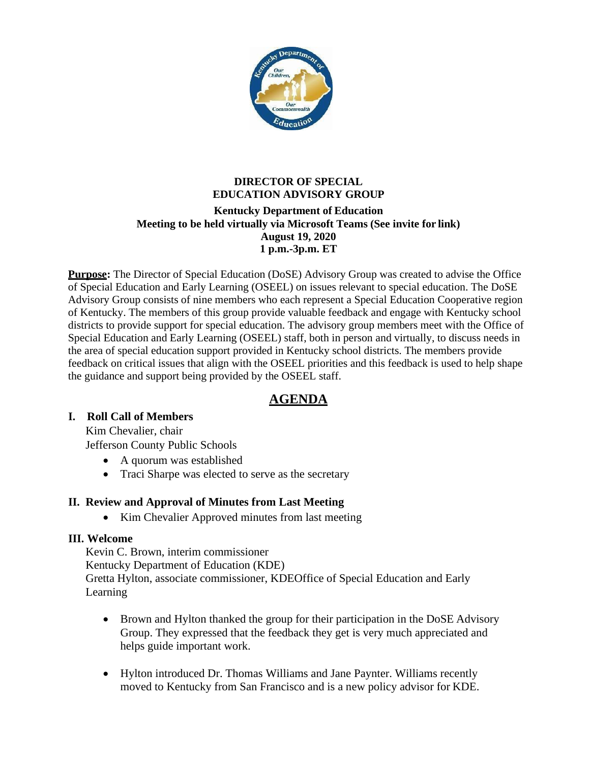

# **DIRECTOR OF SPECIAL EDUCATION ADVISORY GROUP Kentucky Department of Education Meeting to be held virtually via Microsoft Teams (See invite for link) August 19, 2020 1 p.m.-3p.m. ET**

**Purpose:** The Director of Special Education (DoSE) Advisory Group was created to advise the Office of Special Education and Early Learning (OSEEL) on issues relevant to special education. The DoSE Advisory Group consists of nine members who each represent a Special Education Cooperative region of Kentucky. The members of this group provide valuable feedback and engage with Kentucky school districts to provide support for special education. The advisory group members meet with the Office of Special Education and Early Learning (OSEEL) staff, both in person and virtually, to discuss needs in the area of special education support provided in Kentucky school districts. The members provide feedback on critical issues that align with the OSEEL priorities and this feedback is used to help shape the guidance and support being provided by the OSEEL staff.

# **AGENDA**

## **I. Roll Call of Members**

Kim Chevalier, chair

Jefferson County Public Schools

- A quorum was established
- Traci Sharpe was elected to serve as the secretary

## **II. Review and Approval of Minutes from Last Meeting**

• Kim Chevalier Approved minutes from last meeting

## **III. Welcome**

Kevin C. Brown, interim commissioner Kentucky Department of Education (KDE) Gretta Hylton, associate commissioner, KDEOffice of Special Education and Early Learning

- Brown and Hylton thanked the group for their participation in the DoSE Advisory Group. They expressed that the feedback they get is very much appreciated and helps guide important work.
- Hylton introduced Dr. Thomas Williams and Jane Paynter. Williams recently moved to Kentucky from San Francisco and is a new policy advisor for KDE.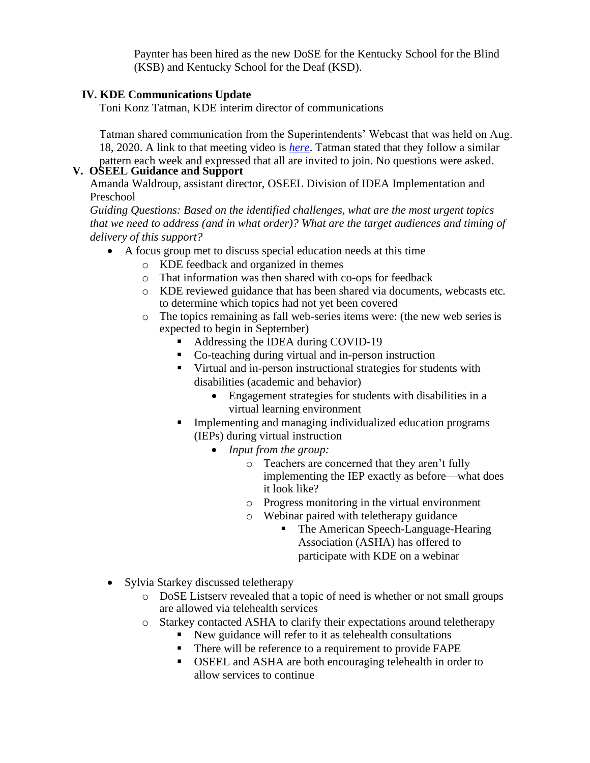Paynter has been hired as the new DoSE for the Kentucky School for the Blind (KSB) and Kentucky School for the Deaf (KSD).

#### **IV. KDE Communications Update**

Toni Konz Tatman, KDE interim director of communications

Tatman shared communication from the Superintendents' Webcast that was held on Aug. 18, 2020. A link to that meeting video is *[here](https://mediaportal.education.ky.gov/featured/2020/08/special-superintendents-webcast-on-covid-19-q-a-session-august-18-2020/)*. Tatman stated that they follow a similar pattern each week and expressed that all are invited to join. No questions were asked.

#### **V. OSEEL Guidance and Support**

Amanda Waldroup, assistant director, OSEEL Division of IDEA Implementation and Preschool

*Guiding Questions: Based on the identified challenges, what are the most urgent topics that we need to address (and in what order)? What are the target audiences and timing of delivery of this support?*

- A focus group met to discuss special education needs at this time
	- o KDE feedback and organized in themes
	- o That information was then shared with co-ops for feedback
	- o KDE reviewed guidance that has been shared via documents, webcasts etc. to determine which topics had not yet been covered
	- o The topics remaining as fall web-series items were: (the new web series is expected to begin in September)
		- Addressing the IDEA during COVID-19
		- Co-teaching during virtual and in-person instruction
		- Virtual and in-person instructional strategies for students with disabilities (academic and behavior)
			- Engagement strategies for students with disabilities in a virtual learning environment
		- **•** Implementing and managing individualized education programs (IEPs) during virtual instruction
			- *Input from the group:*
				- o Teachers are concerned that they aren't fully implementing the IEP exactly as before—what does it look like?
				- o Progress monitoring in the virtual environment
				- o Webinar paired with teletherapy guidance
					- The American Speech-Language-Hearing Association (ASHA) has offered to participate with KDE on a webinar
- Sylvia Starkey discussed teletherapy
	- o DoSE Listserv revealed that a topic of need is whether or not small groups are allowed via telehealth services
	- o Starkey contacted ASHA to clarify their expectations around teletherapy
		- New guidance will refer to it as telehealth consultations
		- There will be reference to a requirement to provide FAPE
		- OSEEL and ASHA are both encouraging telehealth in order to allow services to continue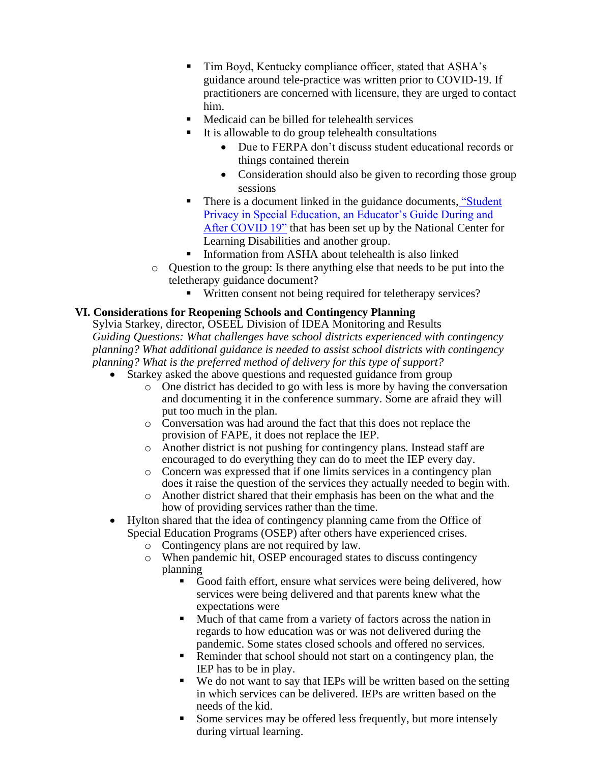- Tim Boyd, Kentucky compliance officer, stated that ASHA's guidance around tele-practice was written prior to COVID-19. If practitioners are concerned with licensure, they are urged to contact him.
- Medicaid can be billed for telehealth services
- It is allowable to do group telehealth consultations
	- Due to FERPA don't discuss student educational records or things contained therein
	- Consideration should also be given to recording those group sessions
- There is a document linked in the guidance documents, ["Student](https://www.ncld.org/wp-content/uploads/2020/07/Student-Privacy-and-Special-Education-An-Educator%E2%80%99s-Guide-During-and-After-COVID-19.07282020.pdf)" [Privacy in Special Education, an Educator's Guide During and](https://www.ncld.org/wp-content/uploads/2020/07/Student-Privacy-and-Special-Education-An-Educator%E2%80%99s-Guide-During-and-After-COVID-19.07282020.pdf) [After COVID 19"](https://www.ncld.org/wp-content/uploads/2020/07/Student-Privacy-and-Special-Education-An-Educator%E2%80%99s-Guide-During-and-After-COVID-19.07282020.pdf) that has been set up by the National Center for Learning Disabilities and another group.
- Information from ASHA about telehealth is also linked
- o Question to the group: Is there anything else that needs to be put into the teletherapy guidance document?
	- Written consent not being required for teletherapy services?

# **VI. Considerations for Reopening Schools and Contingency Planning**

Sylvia Starkey, director, OSEEL Division of IDEA Monitoring and Results *Guiding Questions: What challenges have school districts experienced with contingency planning? What additional guidance is needed to assist school districts with contingency planning? What is the preferred method of delivery for this type of support?*

- Starkey asked the above questions and requested guidance from group
	- o One district has decided to go with less is more by having the conversation and documenting it in the conference summary. Some are afraid they will put too much in the plan.
	- o Conversation was had around the fact that this does not replace the provision of FAPE, it does not replace the IEP.
	- o Another district is not pushing for contingency plans. Instead staff are encouraged to do everything they can do to meet the IEP every day.
	- o Concern was expressed that if one limits services in a contingency plan does it raise the question of the services they actually needed to begin with.
	- o Another district shared that their emphasis has been on the what and the how of providing services rather than the time.
- Hylton shared that the idea of contingency planning came from the Office of Special Education Programs (OSEP) after others have experienced crises.
	- o Contingency plans are not required by law.
	- o When pandemic hit, OSEP encouraged states to discuss contingency planning
		- Good faith effort, ensure what services were being delivered, how services were being delivered and that parents knew what the expectations were
		- Much of that came from a variety of factors across the nation in regards to how education was or was not delivered during the pandemic. Some states closed schools and offered no services.
		- Reminder that school should not start on a contingency plan, the IEP has to be in play.
		- We do not want to say that IEPs will be written based on the setting in which services can be delivered. IEPs are written based on the needs of the kid.
		- Some services may be offered less frequently, but more intensely during virtual learning.